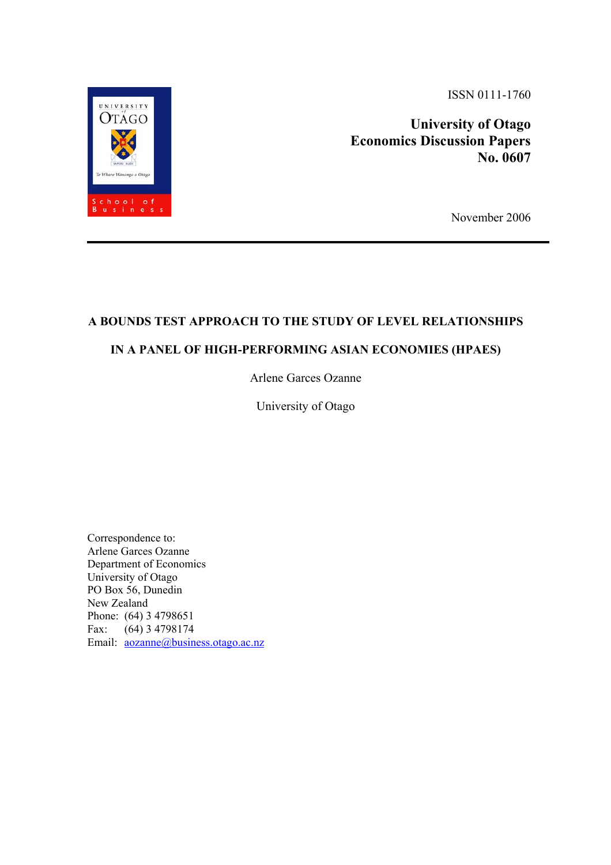UNIVERSITY STREET AND ISSN 0111-1760



**siness**<br>November 2006

# **A BOUNDS TEST APPROACH TO THE STUDY OF LEVEL RELATIONSHIPS**

# **IN A PANEL OF HIGH-PERFORMING ASIAN ECONOMIES (HPAES)**

Arlene Garces Ozanne

University of Otago

Correspondence to: Arlene Garces Ozanne Department of Economics University of Otago PO Box 56, Dunedin New Zealand Phone: (64) 3 4798651 Fax: (64) 3 4798174 Email: aozanne@business.otago.ac.nz

chool o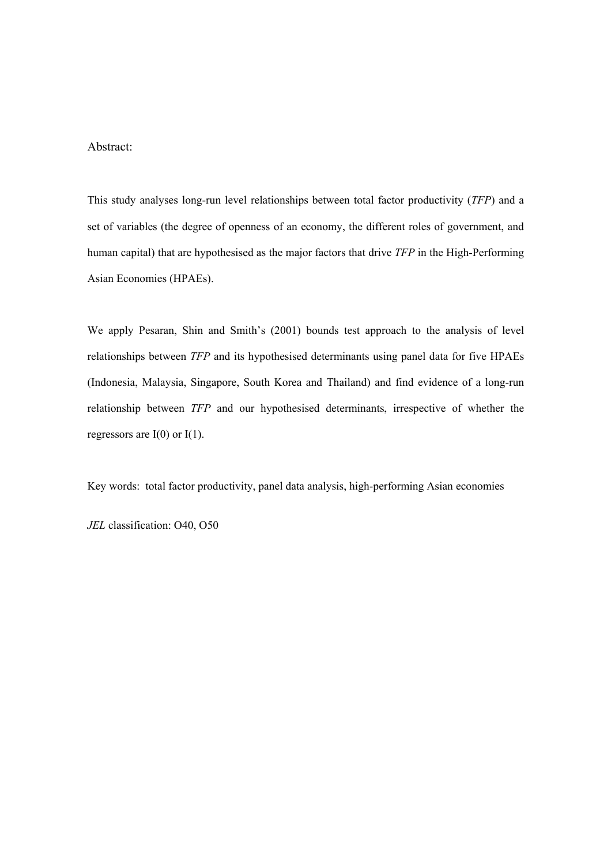## Abstract:

This study analyses long-run level relationships between total factor productivity (*TFP*) and a set of variables (the degree of openness of an economy, the different roles of government, and human capital) that are hypothesised as the major factors that drive *TFP* in the High-Performing Asian Economies (HPAEs).

We apply Pesaran, Shin and Smith's (2001) bounds test approach to the analysis of level relationships between *TFP* and its hypothesised determinants using panel data for five HPAEs (Indonesia, Malaysia, Singapore, South Korea and Thailand) and find evidence of a long-run relationship between *TFP* and our hypothesised determinants, irrespective of whether the regressors are  $I(0)$  or  $I(1)$ .

Key words: total factor productivity, panel data analysis, high-performing Asian economies

*JEL* classification: O40, O50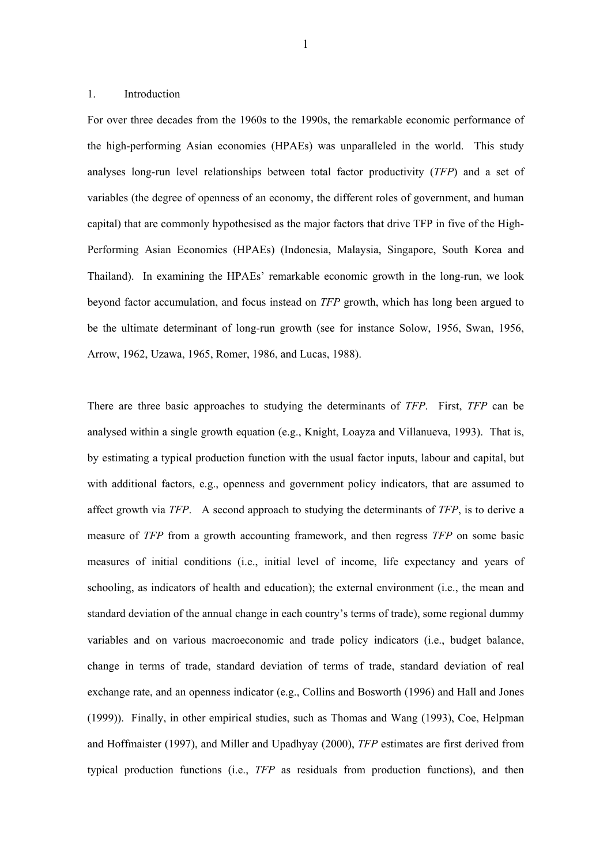## 1. Introduction

For over three decades from the 1960s to the 1990s, the remarkable economic performance of the high-performing Asian economies (HPAEs) was unparalleled in the world. This study analyses long-run level relationships between total factor productivity (*TFP*) and a set of variables (the degree of openness of an economy, the different roles of government, and human capital) that are commonly hypothesised as the major factors that drive TFP in five of the High-Performing Asian Economies (HPAEs) (Indonesia, Malaysia, Singapore, South Korea and Thailand). In examining the HPAEs' remarkable economic growth in the long-run, we look beyond factor accumulation, and focus instead on *TFP* growth, which has long been argued to be the ultimate determinant of long-run growth (see for instance Solow, 1956, Swan, 1956, Arrow, 1962, Uzawa, 1965, Romer, 1986, and Lucas, 1988).

There are three basic approaches to studying the determinants of *TFP*. First, *TFP* can be analysed within a single growth equation (e.g., Knight, Loayza and Villanueva, 1993). That is, by estimating a typical production function with the usual factor inputs, labour and capital, but with additional factors, e.g., openness and government policy indicators, that are assumed to affect growth via *TFP*. A second approach to studying the determinants of *TFP*, is to derive a measure of *TFP* from a growth accounting framework, and then regress *TFP* on some basic measures of initial conditions (i.e., initial level of income, life expectancy and years of schooling, as indicators of health and education); the external environment (i.e., the mean and standard deviation of the annual change in each country's terms of trade), some regional dummy variables and on various macroeconomic and trade policy indicators (i.e., budget balance, change in terms of trade, standard deviation of terms of trade, standard deviation of real exchange rate, and an openness indicator (e.g., Collins and Bosworth (1996) and Hall and Jones (1999)). Finally, in other empirical studies, such as Thomas and Wang (1993), Coe, Helpman and Hoffmaister (1997), and Miller and Upadhyay (2000), *TFP* estimates are first derived from typical production functions (i.e., *TFP* as residuals from production functions), and then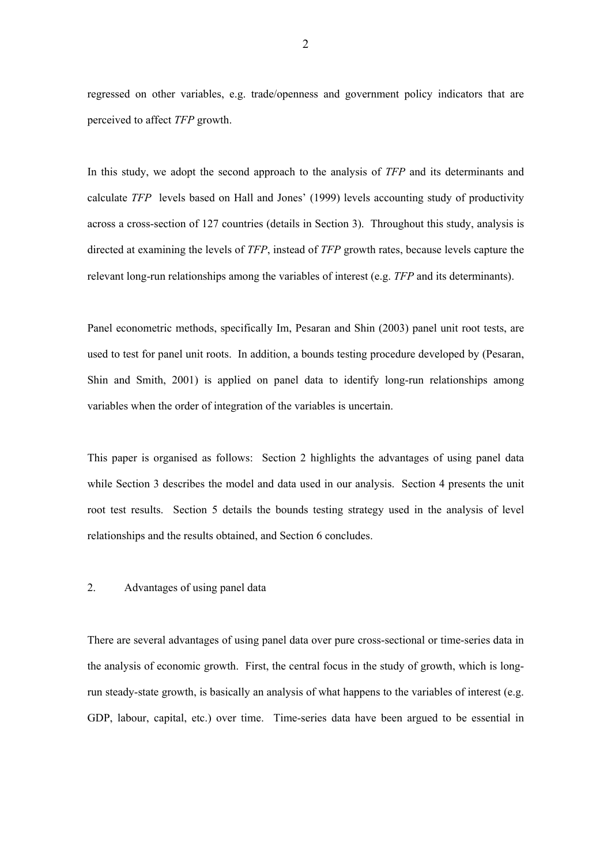regressed on other variables, e.g. trade/openness and government policy indicators that are perceived to affect *TFP* growth.

In this study, we adopt the second approach to the analysis of *TFP* and its determinants and calculate *TFP* levels based on Hall and Jones' (1999) levels accounting study of productivity across a cross-section of 127 countries (details in Section 3). Throughout this study, analysis is directed at examining the levels of *TFP*, instead of *TFP* growth rates, because levels capture the relevant long-run relationships among the variables of interest (e.g. *TFP* and its determinants).

Panel econometric methods, specifically Im, Pesaran and Shin (2003) panel unit root tests, are used to test for panel unit roots. In addition, a bounds testing procedure developed by (Pesaran, Shin and Smith, 2001) is applied on panel data to identify long-run relationships among variables when the order of integration of the variables is uncertain.

This paper is organised as follows: Section 2 highlights the advantages of using panel data while Section 3 describes the model and data used in our analysis. Section 4 presents the unit root test results. Section 5 details the bounds testing strategy used in the analysis of level relationships and the results obtained, and Section 6 concludes.

#### 2. Advantages of using panel data

There are several advantages of using panel data over pure cross-sectional or time-series data in the analysis of economic growth. First, the central focus in the study of growth, which is longrun steady-state growth, is basically an analysis of what happens to the variables of interest (e.g. GDP, labour, capital, etc.) over time. Time-series data have been argued to be essential in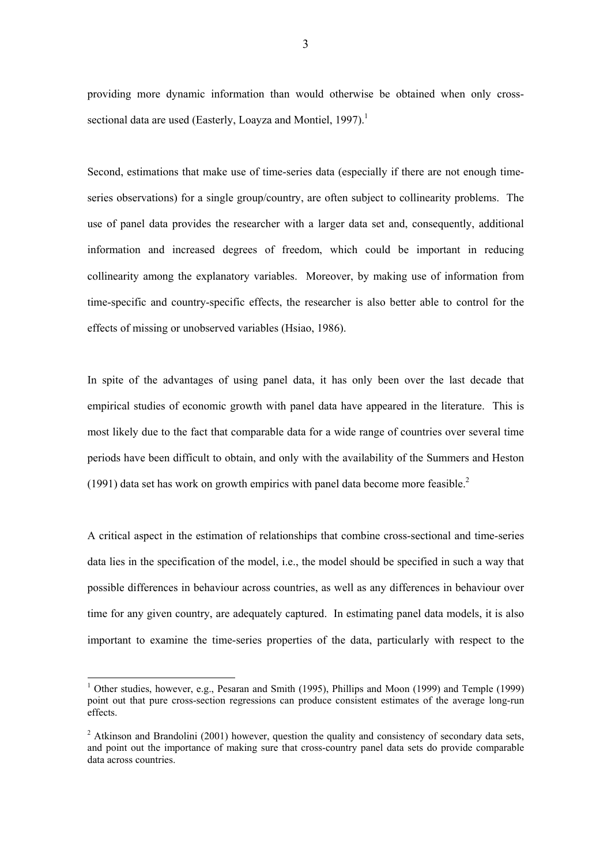providing more dynamic information than would otherwise be obtained when only crosssectional data are used (Easterly, Loayza and Montiel, 1997).<sup>1</sup>

Second, estimations that make use of time-series data (especially if there are not enough timeseries observations) for a single group/country, are often subject to collinearity problems. The use of panel data provides the researcher with a larger data set and, consequently, additional information and increased degrees of freedom, which could be important in reducing collinearity among the explanatory variables. Moreover, by making use of information from time-specific and country-specific effects, the researcher is also better able to control for the effects of missing or unobserved variables (Hsiao, 1986).

In spite of the advantages of using panel data, it has only been over the last decade that empirical studies of economic growth with panel data have appeared in the literature. This is most likely due to the fact that comparable data for a wide range of countries over several time periods have been difficult to obtain, and only with the availability of the Summers and Heston (1991) data set has work on growth empirics with panel data become more feasible.<sup>2</sup>

A critical aspect in the estimation of relationships that combine cross-sectional and time-series data lies in the specification of the model, i.e., the model should be specified in such a way that possible differences in behaviour across countries, as well as any differences in behaviour over time for any given country, are adequately captured. In estimating panel data models, it is also important to examine the time-series properties of the data, particularly with respect to the

l

<sup>&</sup>lt;sup>1</sup> Other studies, however, e.g., Pesaran and Smith (1995), Phillips and Moon (1999) and Temple (1999) point out that pure cross-section regressions can produce consistent estimates of the average long-run effects.

 $2$  Atkinson and Brandolini (2001) however, question the quality and consistency of secondary data sets, and point out the importance of making sure that cross-country panel data sets do provide comparable data across countries.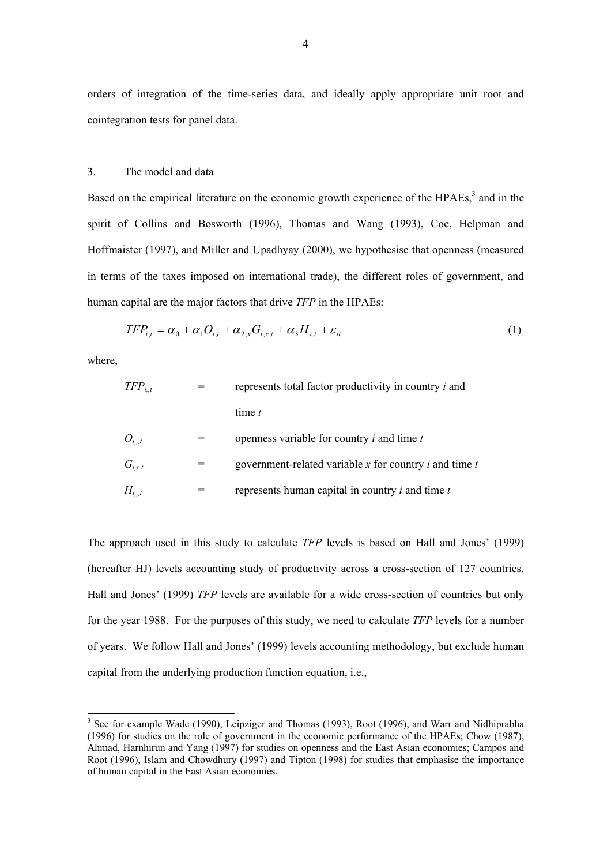orders of integration of the time-series data, and ideally apply appropriate unit root and cointegration tests for panel data.

### 3. The model and data

Based on the empirical literature on the economic growth experience of the  $HPAEs$ ,<sup>3</sup> and in the spirit of Collins and Bosworth (1996), Thomas and Wang (1993), Coe, Helpman and Hoffmaister (1997), and Miller and Upadhyay (2000), we hypothesise that openness (measured in terms of the taxes imposed on international trade), the different roles of government, and human capital are the major factors that drive *TFP* in the HPAEs:

$$
TFP_{i,t} = \alpha_0 + \alpha_1 O_{i,t} + \alpha_{2,x} G_{i,x,t} + \alpha_3 H_{i,t} + \varepsilon_{it}
$$
\n(1)

where,

l

| $TFP_{i.t}$ | represents total factor productivity in country $i$ and        |  |
|-------------|----------------------------------------------------------------|--|
|             | time $t$                                                       |  |
| $O_{it}$    | openness variable for country $i$ and time $t$                 |  |
| $G_{i,x,t}$ | government-related variable $x$ for country $i$ and time $t$   |  |
| $H_{it}$    | represents human capital in country <i>i</i> and time <i>t</i> |  |

The approach used in this study to calculate *TFP* levels is based on Hall and Jones' (1999) (hereafter HJ) levels accounting study of productivity across a cross-section of 127 countries. Hall and Jones' (1999) *TFP* levels are available for a wide cross-section of countries but only for the year 1988. For the purposes of this study, we need to calculate *TFP* levels for a number of years. We follow Hall and Jones' (1999) levels accounting methodology, but exclude human capital from the underlying production function equation, i.e.,

 $3$  See for example Wade (1990), Leipziger and Thomas (1993), Root (1996), and Warr and Nidhiprabha (1996) for studies on the role of government in the economic performance of the HPAEs; Chow (1987), Ahmad, Harnhirun and Yang (1997) for studies on openness and the East Asian economies; Campos and Root (1996), Islam and Chowdhury (1997) and Tipton (1998) for studies that emphasise the importance of human capital in the East Asian economies.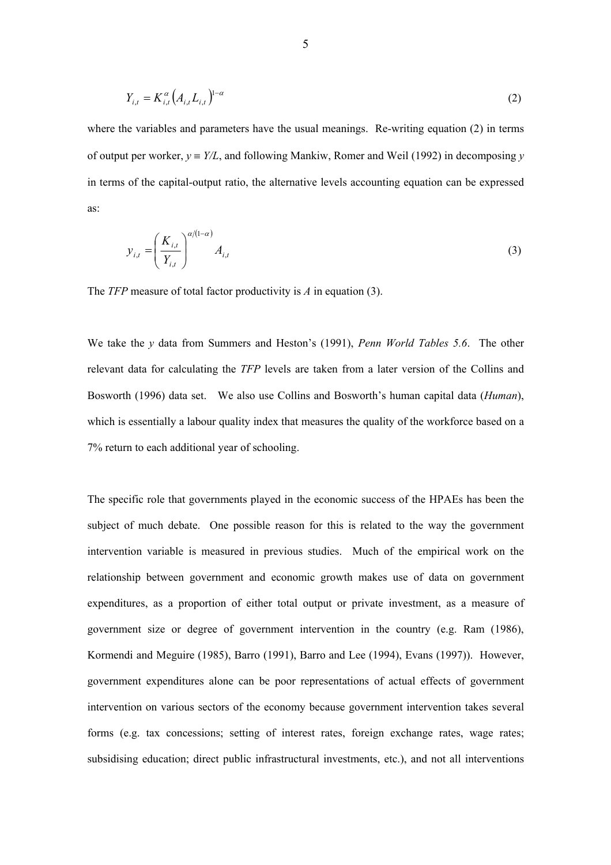$$
Y_{i,t} = K_{i,t}^{\alpha} (A_{i,t} L_{i,t})^{1-\alpha}
$$
 (2)

where the variables and parameters have the usual meanings. Re-writing equation (2) in terms of output per worker,  $y = Y/L$ , and following Mankiw, Romer and Weil (1992) in decomposing *y* in terms of the capital-output ratio, the alternative levels accounting equation can be expressed as:

$$
y_{i,t} = \left(\frac{K_{i,t}}{Y_{i,t}}\right)^{\alpha/(1-\alpha)} A_{i,t}
$$
 (3)

The *TFP* measure of total factor productivity is *A* in equation (3).

We take the *y* data from Summers and Heston's (1991), *Penn World Tables 5.6*. The other relevant data for calculating the *TFP* levels are taken from a later version of the Collins and Bosworth (1996) data set. We also use Collins and Bosworth's human capital data (*Human*), which is essentially a labour quality index that measures the quality of the workforce based on a 7% return to each additional year of schooling.

The specific role that governments played in the economic success of the HPAEs has been the subject of much debate. One possible reason for this is related to the way the government intervention variable is measured in previous studies. Much of the empirical work on the relationship between government and economic growth makes use of data on government expenditures, as a proportion of either total output or private investment, as a measure of government size or degree of government intervention in the country (e.g. Ram (1986), Kormendi and Meguire (1985), Barro (1991), Barro and Lee (1994), Evans (1997)). However, government expenditures alone can be poor representations of actual effects of government intervention on various sectors of the economy because government intervention takes several forms (e.g. tax concessions; setting of interest rates, foreign exchange rates, wage rates; subsidising education; direct public infrastructural investments, etc.), and not all interventions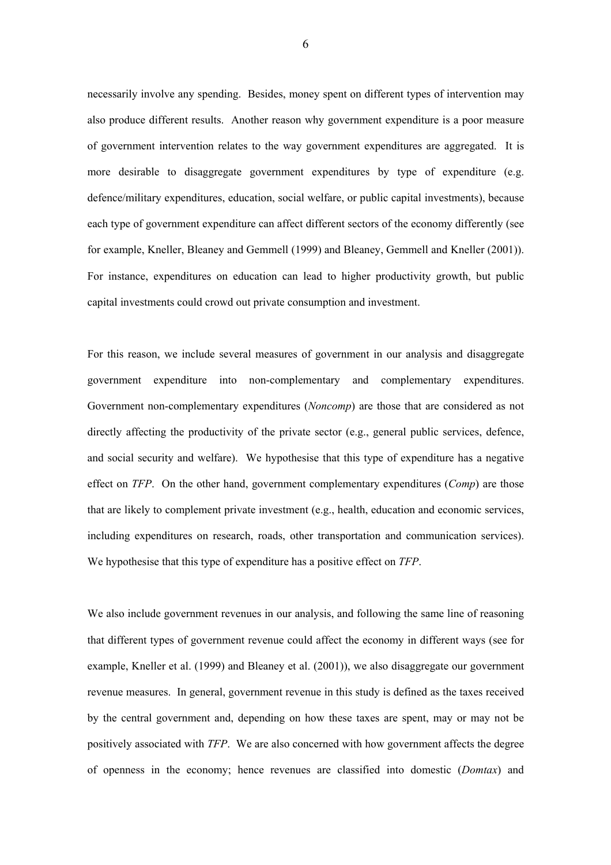necessarily involve any spending. Besides, money spent on different types of intervention may also produce different results. Another reason why government expenditure is a poor measure of government intervention relates to the way government expenditures are aggregated. It is more desirable to disaggregate government expenditures by type of expenditure (e.g. defence/military expenditures, education, social welfare, or public capital investments), because each type of government expenditure can affect different sectors of the economy differently (see for example, Kneller, Bleaney and Gemmell (1999) and Bleaney, Gemmell and Kneller (2001)). For instance, expenditures on education can lead to higher productivity growth, but public capital investments could crowd out private consumption and investment.

For this reason, we include several measures of government in our analysis and disaggregate government expenditure into non-complementary and complementary expenditures. Government non-complementary expenditures (*Noncomp*) are those that are considered as not directly affecting the productivity of the private sector (e.g., general public services, defence, and social security and welfare). We hypothesise that this type of expenditure has a negative effect on *TFP*. On the other hand, government complementary expenditures (*Comp*) are those that are likely to complement private investment (e.g., health, education and economic services, including expenditures on research, roads, other transportation and communication services). We hypothesise that this type of expenditure has a positive effect on *TFP*.

We also include government revenues in our analysis, and following the same line of reasoning that different types of government revenue could affect the economy in different ways (see for example, Kneller et al. (1999) and Bleaney et al. (2001)), we also disaggregate our government revenue measures. In general, government revenue in this study is defined as the taxes received by the central government and, depending on how these taxes are spent, may or may not be positively associated with *TFP*. We are also concerned with how government affects the degree of openness in the economy; hence revenues are classified into domestic (*Domtax*) and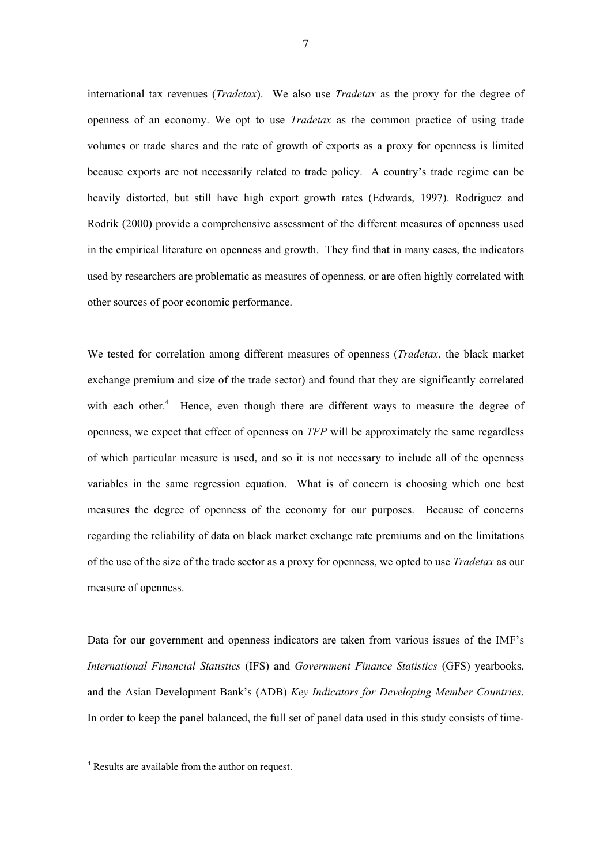international tax revenues (*Tradetax*). We also use *Tradetax* as the proxy for the degree of openness of an economy. We opt to use *Tradetax* as the common practice of using trade volumes or trade shares and the rate of growth of exports as a proxy for openness is limited because exports are not necessarily related to trade policy. A country's trade regime can be heavily distorted, but still have high export growth rates (Edwards, 1997). Rodriguez and Rodrik (2000) provide a comprehensive assessment of the different measures of openness used in the empirical literature on openness and growth. They find that in many cases, the indicators used by researchers are problematic as measures of openness, or are often highly correlated with other sources of poor economic performance.

We tested for correlation among different measures of openness (*Tradetax*, the black market exchange premium and size of the trade sector) and found that they are significantly correlated with each other. $4$  Hence, even though there are different ways to measure the degree of openness, we expect that effect of openness on *TFP* will be approximately the same regardless of which particular measure is used, and so it is not necessary to include all of the openness variables in the same regression equation. What is of concern is choosing which one best measures the degree of openness of the economy for our purposes. Because of concerns regarding the reliability of data on black market exchange rate premiums and on the limitations of the use of the size of the trade sector as a proxy for openness, we opted to use *Tradetax* as our measure of openness.

Data for our government and openness indicators are taken from various issues of the IMF's *International Financial Statistics* (IFS) and *Government Finance Statistics* (GFS) yearbooks, and the Asian Development Bank's (ADB) *Key Indicators for Developing Member Countries*. In order to keep the panel balanced, the full set of panel data used in this study consists of time-

l

<sup>&</sup>lt;sup>4</sup> Results are available from the author on request.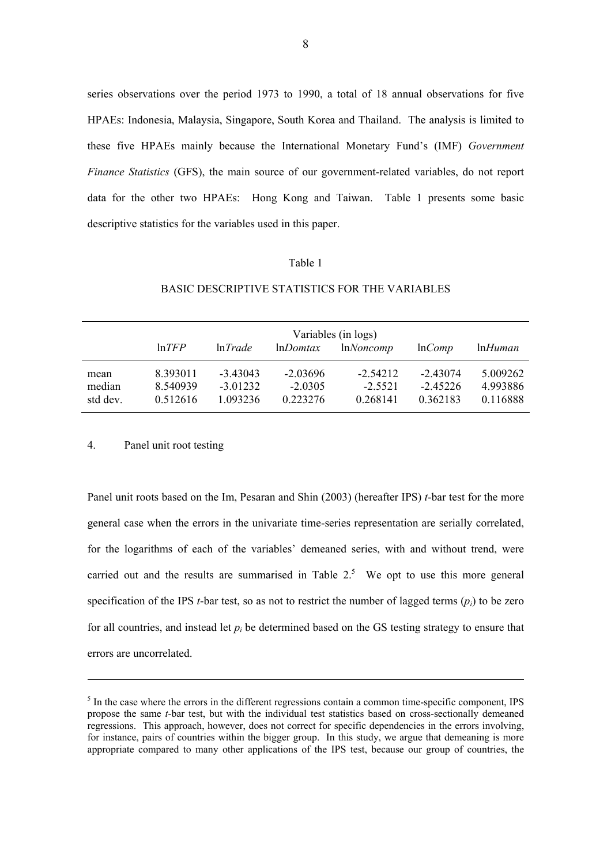series observations over the period 1973 to 1990, a total of 18 annual observations for five HPAEs: Indonesia, Malaysia, Singapore, South Korea and Thailand. The analysis is limited to these five HPAEs mainly because the International Monetary Fund's (IMF) *Government Finance Statistics* (GFS), the main source of our government-related variables, do not report data for the other two HPAEs: Hong Kong and Taiwan. Table 1 presents some basic descriptive statistics for the variables used in this paper.

#### Table 1

|                            | Variables (in logs)              |                                      |                                     |                                     |                                      |                                  |
|----------------------------|----------------------------------|--------------------------------------|-------------------------------------|-------------------------------------|--------------------------------------|----------------------------------|
|                            | $ln$ <i>TFP</i>                  | ln Trade                             | $ln$ <i>Domtax</i>                  | lnNoncomp                           | lnComp                               | $lnH$ <i>uman</i>                |
| mean<br>median<br>std dev. | 8.393011<br>8.540939<br>0.512616 | $-3.43043$<br>$-3.01232$<br>1.093236 | $-2.03696$<br>$-2.0305$<br>0.223276 | $-2.54212$<br>$-2.5521$<br>0.268141 | $-2.43074$<br>$-2.45226$<br>0.362183 | 5.009262<br>4.993886<br>0.116888 |

## BASIC DESCRIPTIVE STATISTICS FOR THE VARIABLES

## 4. Panel unit root testing

-

Panel unit roots based on the Im, Pesaran and Shin (2003) (hereafter IPS) *t*-bar test for the more general case when the errors in the univariate time-series representation are serially correlated, for the logarithms of each of the variables' demeaned series, with and without trend, were carried out and the results are summarised in Table  $2<sup>5</sup>$  We opt to use this more general specification of the IPS *t*-bar test, so as not to restrict the number of lagged terms  $(p_i)$  to be zero for all countries, and instead let  $p_i$  be determined based on the GS testing strategy to ensure that errors are uncorrelated.

<sup>&</sup>lt;sup>5</sup> In the case where the errors in the different regressions contain a common time-specific component, IPS propose the same *t-*bar test, but with the individual test statistics based on cross-sectionally demeaned regressions. This approach, however, does not correct for specific dependencies in the errors involving, for instance, pairs of countries within the bigger group. In this study, we argue that demeaning is more appropriate compared to many other applications of the IPS test, because our group of countries, the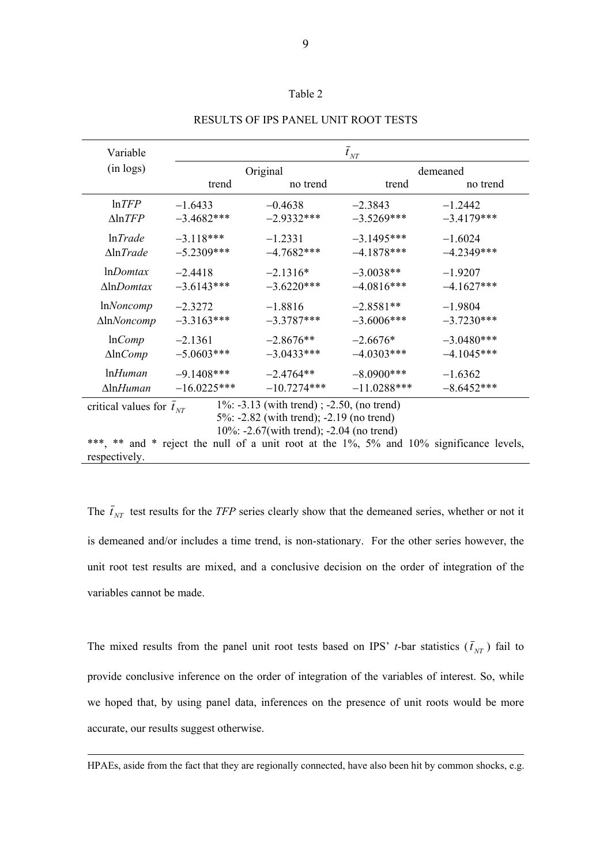## Table 2

| Variable                                                                                                                                                                                                                                                                           | $t_{\rm \scriptscriptstyle NT}$ |               |               |              |  |
|------------------------------------------------------------------------------------------------------------------------------------------------------------------------------------------------------------------------------------------------------------------------------------|---------------------------------|---------------|---------------|--------------|--|
| $(in \text{ logs})$                                                                                                                                                                                                                                                                |                                 | Original      | demeaned      |              |  |
|                                                                                                                                                                                                                                                                                    | trend                           | no trend      | trend         | no trend     |  |
| $ln$ <i>TFP</i>                                                                                                                                                                                                                                                                    | $-1.6433$                       | $-0.4638$     | $-2.3843$     | $-1.2442$    |  |
| $\triangle \ln TFP$                                                                                                                                                                                                                                                                | $-3.4682***$                    | $-29332***$   | $-3.5269***$  | $-3.4179***$ |  |
| ln Trade                                                                                                                                                                                                                                                                           | $-3.118***$                     | $-1.2331$     | $-3.1495***$  | $-1.6024$    |  |
| $\Delta$ ln <i>Trade</i>                                                                                                                                                                                                                                                           | $-5.2309***$                    | $-4.7682***$  | $-4.1878***$  | $-42349***$  |  |
| $ln$ <i>Domtax</i>                                                                                                                                                                                                                                                                 | $-2.4418$                       | $-2.1316*$    | $-3.0038**$   | $-1.9207$    |  |
| $\Delta$ ln $Dom$ tax                                                                                                                                                                                                                                                              | $-3.6143***$                    | $-3.6220***$  | $-4.0816***$  | $-4.1627***$ |  |
| <i>InNoncomp</i>                                                                                                                                                                                                                                                                   | $-2.3272$                       | $-1.8816$     | $-2.8581**$   | $-1.9804$    |  |
| $\Delta$ ln $Noncomp$                                                                                                                                                                                                                                                              | $-3.3163***$                    | $-3.3787***$  | $-3.6006***$  | $-3.7230***$ |  |
| lnComp                                                                                                                                                                                                                                                                             | $-2.1361$                       | $-2.8676**$   | $-2.6676*$    | $-3.0480***$ |  |
| $\Delta$ ln $Comp$                                                                                                                                                                                                                                                                 | $-5.0603***$                    | $-3.0433***$  | $-4.0303***$  | $-4.1045***$ |  |
| $lnH$ uman                                                                                                                                                                                                                                                                         | $-9.1408***$                    | $-2.4764**$   | $-8.0900$ *** | $-1.6362$    |  |
| $\Delta$ lnHuman                                                                                                                                                                                                                                                                   | $-16.0225***$                   | $-10.7274***$ | $-11.0288***$ | $-8.6452***$ |  |
| $1\%$ : -3.13 (with trend); -2.50, (no trend)<br>critical values for $t_{NT}$<br>5%: -2.82 (with trend); -2.19 (no trend)<br>10\%: -2.67(with trend); -2.04 (no trend)<br>***, ** and * reject the null of a unit root at the 1%, 5% and 10% significance levels,<br>respectively. |                                 |               |               |              |  |

RESULTS OF IPS PANEL UNIT ROOT TESTS

The  $\bar{t}_{NT}$  test results for the *TFP* series clearly show that the demeaned series, whether or not it is demeaned and/or includes a time trend, is non-stationary. For the other series however, the unit root test results are mixed, and a conclusive decision on the order of integration of the variables cannot be made.

The mixed results from the panel unit root tests based on IPS' *t*-bar statistics  $(\bar{t}_{NT})$  fail to provide conclusive inference on the order of integration of the variables of interest. So, while we hoped that, by using panel data, inferences on the presence of unit roots would be more accurate, our results suggest otherwise.

HPAEs, aside from the fact that they are regionally connected, have also been hit by common shocks, e.g.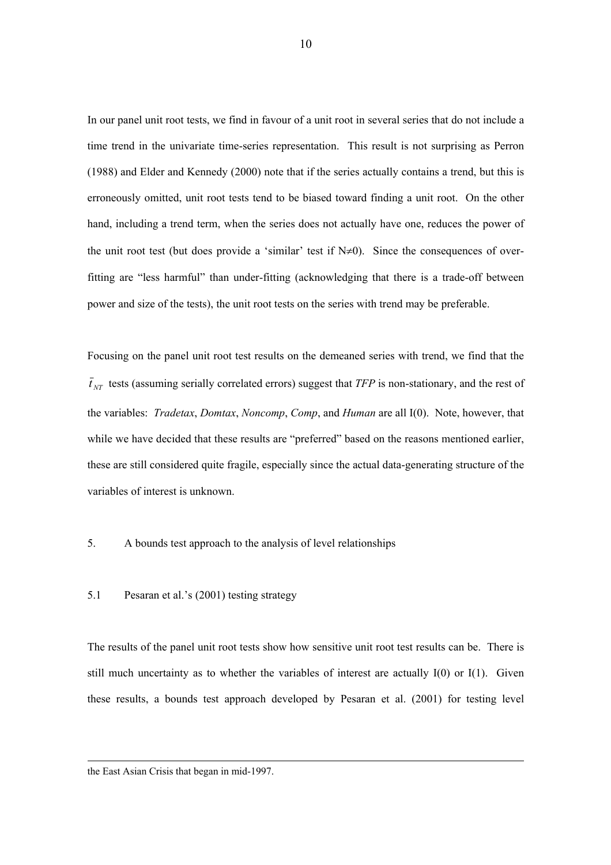In our panel unit root tests, we find in favour of a unit root in several series that do not include a time trend in the univariate time-series representation. This result is not surprising as Perron (1988) and Elder and Kennedy (2000) note that if the series actually contains a trend, but this is erroneously omitted, unit root tests tend to be biased toward finding a unit root. On the other hand, including a trend term, when the series does not actually have one, reduces the power of the unit root test (but does provide a 'similar' test if  $N\neq 0$ ). Since the consequences of overfitting are "less harmful" than under-fitting (acknowledging that there is a trade-off between power and size of the tests), the unit root tests on the series with trend may be preferable.

Focusing on the panel unit root test results on the demeaned series with trend, we find that the  $\bar{t}_{NT}$  tests (assuming serially correlated errors) suggest that *TFP* is non-stationary, and the rest of the variables: *Tradetax*, *Domtax*, *Noncomp*, *Comp*, and *Human* are all I(0). Note, however, that while we have decided that these results are "preferred" based on the reasons mentioned earlier, these are still considered quite fragile, especially since the actual data-generating structure of the variables of interest is unknown.

5. A bounds test approach to the analysis of level relationships

## 5.1 Pesaran et al.'s (2001) testing strategy

The results of the panel unit root tests show how sensitive unit root test results can be. There is still much uncertainty as to whether the variables of interest are actually  $I(0)$  or  $I(1)$ . Given these results, a bounds test approach developed by Pesaran et al. (2001) for testing level

the East Asian Crisis that began in mid-1997.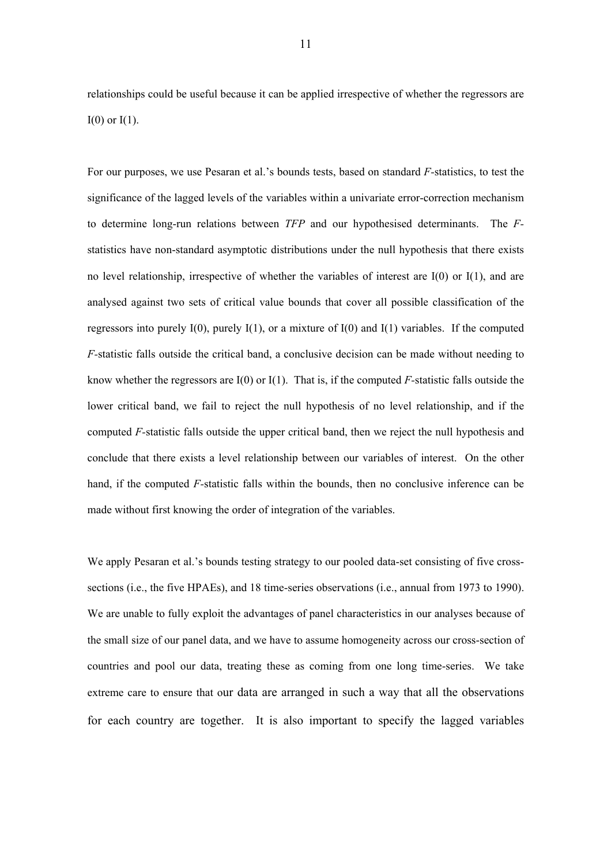relationships could be useful because it can be applied irrespective of whether the regressors are  $I(0)$  or  $I(1)$ .

For our purposes, we use Pesaran et al.'s bounds tests, based on standard *F-*statistics, to test the significance of the lagged levels of the variables within a univariate error-correction mechanism to determine long-run relations between *TFP* and our hypothesised determinants. The *F*statistics have non-standard asymptotic distributions under the null hypothesis that there exists no level relationship, irrespective of whether the variables of interest are I(0) or I(1), and are analysed against two sets of critical value bounds that cover all possible classification of the regressors into purely  $I(0)$ , purely  $I(1)$ , or a mixture of  $I(0)$  and  $I(1)$  variables. If the computed *F-*statistic falls outside the critical band, a conclusive decision can be made without needing to know whether the regressors are I(0) or I(1). That is, if the computed *F-*statistic falls outside the lower critical band, we fail to reject the null hypothesis of no level relationship, and if the computed *F-*statistic falls outside the upper critical band, then we reject the null hypothesis and conclude that there exists a level relationship between our variables of interest. On the other hand, if the computed *F-*statistic falls within the bounds, then no conclusive inference can be made without first knowing the order of integration of the variables.

We apply Pesaran et al.'s bounds testing strategy to our pooled data-set consisting of five crosssections (i.e., the five HPAEs), and 18 time-series observations (i.e., annual from 1973 to 1990). We are unable to fully exploit the advantages of panel characteristics in our analyses because of the small size of our panel data, and we have to assume homogeneity across our cross-section of countries and pool our data, treating these as coming from one long time-series. We take extreme care to ensure that our data are arranged in such a way that all the observations for each country are together. It is also important to specify the lagged variables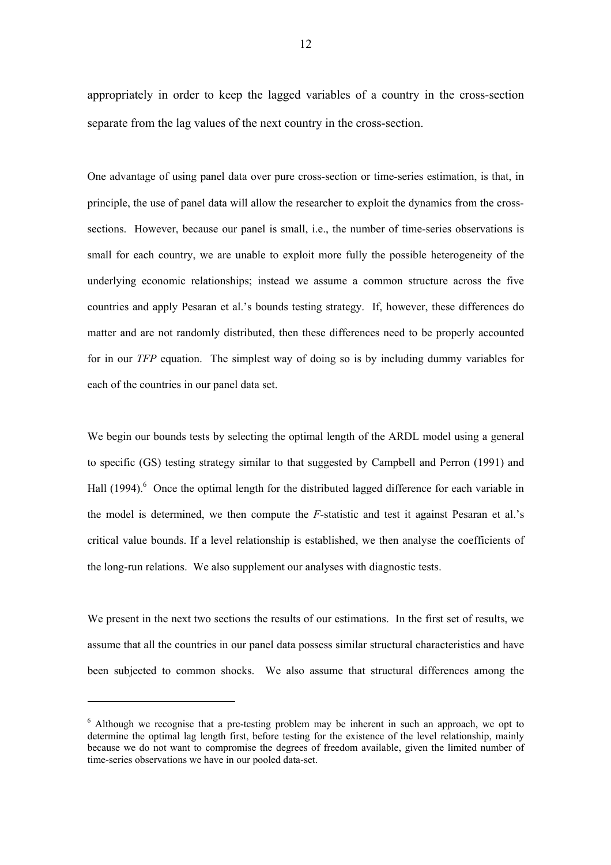appropriately in order to keep the lagged variables of a country in the cross-section separate from the lag values of the next country in the cross-section.

One advantage of using panel data over pure cross-section or time-series estimation, is that, in principle, the use of panel data will allow the researcher to exploit the dynamics from the crosssections. However, because our panel is small, *i.e.*, the number of time-series observations is small for each country, we are unable to exploit more fully the possible heterogeneity of the underlying economic relationships; instead we assume a common structure across the five countries and apply Pesaran et al.'s bounds testing strategy. If, however, these differences do matter and are not randomly distributed, then these differences need to be properly accounted for in our *TFP* equation. The simplest way of doing so is by including dummy variables for each of the countries in our panel data set.

We begin our bounds tests by selecting the optimal length of the ARDL model using a general to specific (GS) testing strategy similar to that suggested by Campbell and Perron (1991) and Hall (1994).<sup>6</sup> Once the optimal length for the distributed lagged difference for each variable in the model is determined, we then compute the *F-*statistic and test it against Pesaran et al.'s critical value bounds. If a level relationship is established, we then analyse the coefficients of the long-run relations. We also supplement our analyses with diagnostic tests.

We present in the next two sections the results of our estimations. In the first set of results, we assume that all the countries in our panel data possess similar structural characteristics and have been subjected to common shocks. We also assume that structural differences among the

l

<sup>&</sup>lt;sup>6</sup> Although we recognise that a pre-testing problem may be inherent in such an approach, we opt to determine the optimal lag length first, before testing for the existence of the level relationship, mainly because we do not want to compromise the degrees of freedom available, given the limited number of time-series observations we have in our pooled data-set.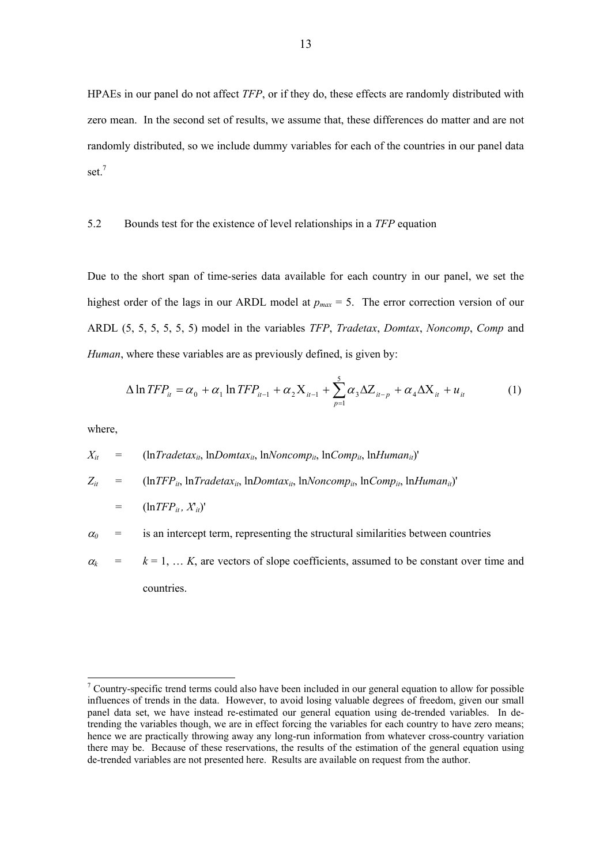HPAEs in our panel do not affect *TFP*, or if they do, these effects are randomly distributed with zero mean. In the second set of results, we assume that, these differences do matter and are not randomly distributed, so we include dummy variables for each of the countries in our panel data set.<sup>7</sup>

## 5.2 Bounds test for the existence of level relationships in a *TFP* equation

Due to the short span of time-series data available for each country in our panel, we set the highest order of the lags in our ARDL model at  $p_{max} = 5$ . The error correction version of our ARDL (5, 5, 5, 5, 5, 5) model in the variables *TFP*, *Tradetax*, *Domtax*, *Noncomp*, *Comp* and *Human*, where these variables are as previously defined, is given by:

$$
\Delta \ln TFP_{it} = \alpha_0 + \alpha_1 \ln TFP_{it-1} + \alpha_2 X_{it-1} + \sum_{p=1}^{5} \alpha_3 \Delta Z_{it-p} + \alpha_4 \Delta X_{it} + u_{it}
$$
 (1)

where,

l

 $X_{it}$  = (ln*Tradetax<sub>it</sub>*, ln*Domtax<sub>it</sub>*, ln*Noncomp<sub>it</sub>*, ln*Comp<sub>it</sub>*, ln*Human<sub>it</sub>*)'  $Z_{it}$  =  $(\ln TFP_{it}, \ln Tradetax_{it}, \ln Domtax_{it}, \ln Noncomp_{it}, \ln Comp_{it}, \ln Human_{it})'$  $=$   $(\ln TFP_{it}, X_{it})'$  $\alpha_0$  = is an intercept term, representing the structural similarities between countries

 $\alpha_k$  =  $k = 1, \dots, K$ , are vectors of slope coefficients, assumed to be constant over time and countries.

 $\sigma$ <sup>7</sup> Country-specific trend terms could also have been included in our general equation to allow for possible influences of trends in the data. However, to avoid losing valuable degrees of freedom, given our small panel data set, we have instead re-estimated our general equation using de-trended variables. In detrending the variables though, we are in effect forcing the variables for each country to have zero means; hence we are practically throwing away any long-run information from whatever cross-country variation there may be. Because of these reservations, the results of the estimation of the general equation using de-trended variables are not presented here. Results are available on request from the author.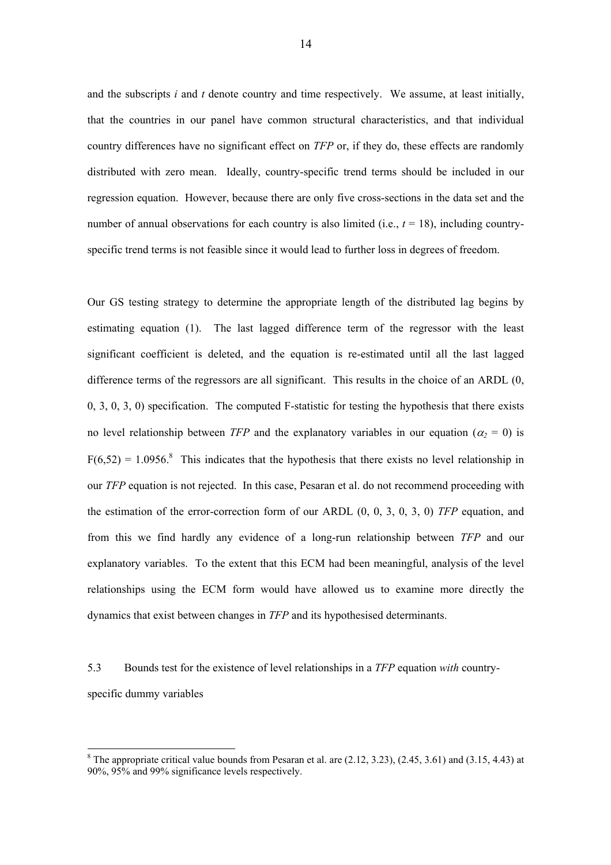and the subscripts *i* and *t* denote country and time respectively. We assume, at least initially, that the countries in our panel have common structural characteristics, and that individual country differences have no significant effect on *TFP* or, if they do, these effects are randomly distributed with zero mean. Ideally, country-specific trend terms should be included in our regression equation. However, because there are only five cross-sections in the data set and the number of annual observations for each country is also limited (i.e.,  $t = 18$ ), including countryspecific trend terms is not feasible since it would lead to further loss in degrees of freedom.

Our GS testing strategy to determine the appropriate length of the distributed lag begins by estimating equation (1). The last lagged difference term of the regressor with the least significant coefficient is deleted, and the equation is re-estimated until all the last lagged difference terms of the regressors are all significant. This results in the choice of an ARDL (0, 0, 3, 0, 3, 0) specification. The computed F-statistic for testing the hypothesis that there exists no level relationship between *TFP* and the explanatory variables in our equation ( $\alpha_2 = 0$ ) is  $F(6,52) = 1.0956$ .<sup>8</sup> This indicates that the hypothesis that there exists no level relationship in our *TFP* equation is not rejected. In this case, Pesaran et al. do not recommend proceeding with the estimation of the error-correction form of our ARDL (0, 0, 3, 0, 3, 0) *TFP* equation, and from this we find hardly any evidence of a long-run relationship between *TFP* and our explanatory variables. To the extent that this ECM had been meaningful, analysis of the level relationships using the ECM form would have allowed us to examine more directly the dynamics that exist between changes in *TFP* and its hypothesised determinants.

5.3 Bounds test for the existence of level relationships in a *TFP* equation *with* countryspecific dummy variables

l

<sup>&</sup>lt;sup>8</sup> The appropriate critical value bounds from Pesaran et al. are  $(2.12, 3.23)$ ,  $(2.45, 3.61)$  and  $(3.15, 4.43)$  at 90%, 95% and 99% significance levels respectively.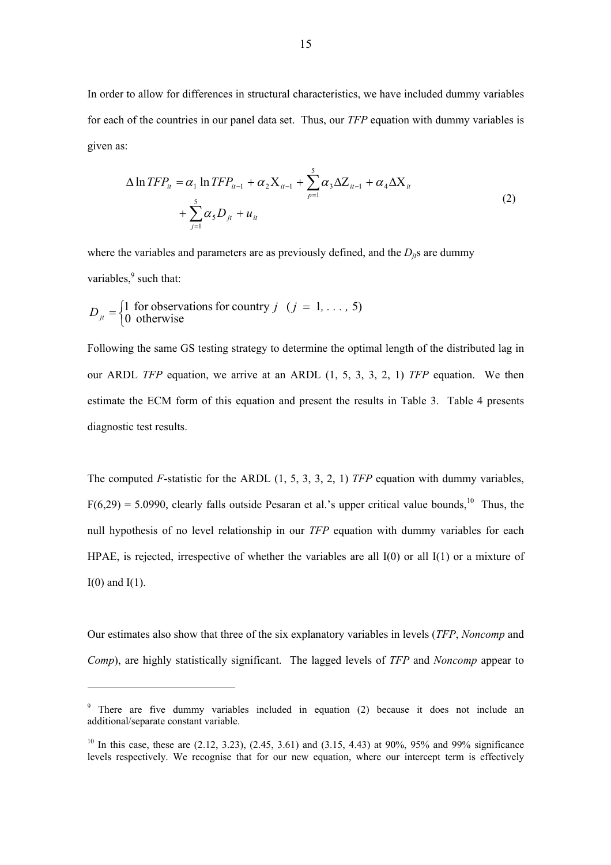In order to allow for differences in structural characteristics, we have included dummy variables for each of the countries in our panel data set. Thus, our *TFP* equation with dummy variables is given as:

$$
\Delta \ln TFP_{it} = \alpha_1 \ln TFP_{it-1} + \alpha_2 X_{it-1} + \sum_{p=1}^{5} \alpha_3 \Delta Z_{it-1} + \alpha_4 \Delta X_{it} + \sum_{j=1}^{5} \alpha_5 D_{jt} + u_{it}
$$
\n(2)

where the variables and parameters are as previously defined, and the  $D_{ij}$ s are dummy variables, $9$  such that:

$$
D_{ji} = \begin{cases} 1 & \text{for observations for country } j \ (j = 1, \dots, 5) \\ 0 & \text{otherwise} \end{cases}
$$

l

Following the same GS testing strategy to determine the optimal length of the distributed lag in our ARDL *TFP* equation, we arrive at an ARDL (1, 5, 3, 3, 2, 1) *TFP* equation. We then estimate the ECM form of this equation and present the results in Table 3. Table 4 presents diagnostic test results.

The computed *F*-statistic for the ARDL (1, 5, 3, 3, 2, 1) *TFP* equation with dummy variables,  $F(6,29) = 5.0990$ , clearly falls outside Pesaran et al.'s upper critical value bounds, <sup>10</sup> Thus, the null hypothesis of no level relationship in our *TFP* equation with dummy variables for each HPAE, is rejected, irrespective of whether the variables are all  $I(0)$  or all  $I(1)$  or a mixture of  $I(0)$  and  $I(1)$ .

Our estimates also show that three of the six explanatory variables in levels (*TFP*, *Noncomp* and *Comp*), are highly statistically significant. The lagged levels of *TFP* and *Noncomp* appear to

<sup>&</sup>lt;sup>9</sup> There are five dummy variables included in equation (2) because it does not include an additional/separate constant variable.

<sup>&</sup>lt;sup>10</sup> In this case, these are  $(2.12, 3.23)$ ,  $(2.45, 3.61)$  and  $(3.15, 4.43)$  at 90%, 95% and 99% significance levels respectively. We recognise that for our new equation, where our intercept term is effectively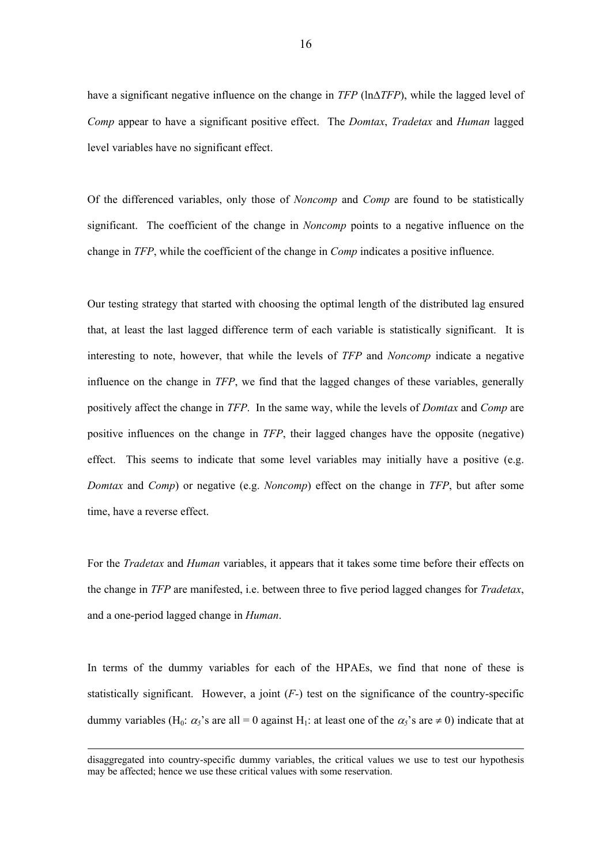have a significant negative influence on the change in *TFP* (ln∆*TFP*), while the lagged level of *Comp* appear to have a significant positive effect. The *Domtax*, *Tradetax* and *Human* lagged level variables have no significant effect.

Of the differenced variables, only those of *Noncomp* and *Comp* are found to be statistically significant. The coefficient of the change in *Noncomp* points to a negative influence on the change in *TFP*, while the coefficient of the change in *Comp* indicates a positive influence.

Our testing strategy that started with choosing the optimal length of the distributed lag ensured that, at least the last lagged difference term of each variable is statistically significant. It is interesting to note, however, that while the levels of *TFP* and *Noncomp* indicate a negative influence on the change in *TFP*, we find that the lagged changes of these variables, generally positively affect the change in *TFP*. In the same way, while the levels of *Domtax* and *Comp* are positive influences on the change in *TFP*, their lagged changes have the opposite (negative) effect. This seems to indicate that some level variables may initially have a positive (e.g. *Domtax* and *Comp*) or negative (e.g. *Noncomp*) effect on the change in *TFP*, but after some time, have a reverse effect.

For the *Tradetax* and *Human* variables, it appears that it takes some time before their effects on the change in *TFP* are manifested, i.e. between three to five period lagged changes for *Tradetax*, and a one-period lagged change in *Human*.

In terms of the dummy variables for each of the HPAEs, we find that none of these is statistically significant. However, a joint  $(F<sub>-</sub>)$  test on the significance of the country-specific dummy variables (H<sub>0</sub>:  $\alpha_5$ 's are all = 0 against H<sub>1</sub>: at least one of the  $\alpha_5$ 's are  $\neq$  0) indicate that at

-

disaggregated into country-specific dummy variables, the critical values we use to test our hypothesis may be affected; hence we use these critical values with some reservation.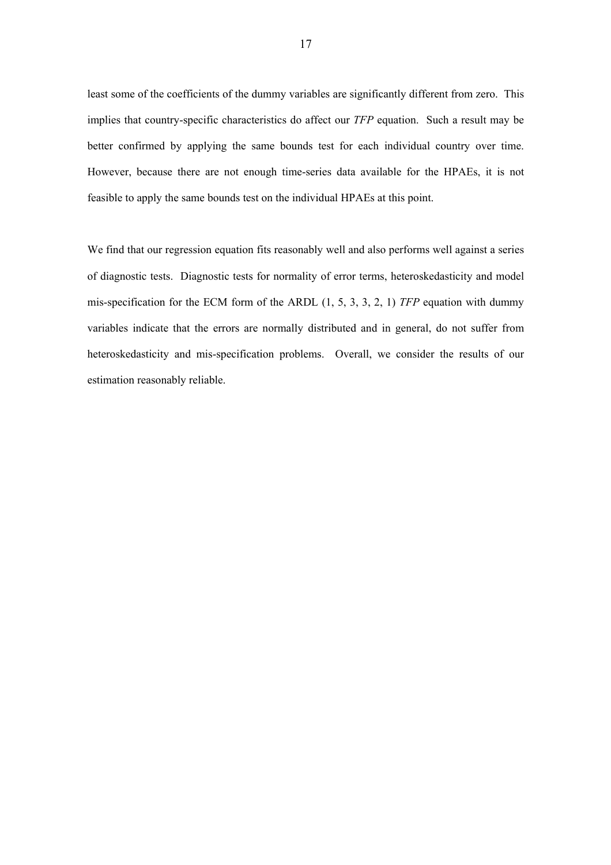least some of the coefficients of the dummy variables are significantly different from zero. This implies that country-specific characteristics do affect our *TFP* equation. Such a result may be better confirmed by applying the same bounds test for each individual country over time. However, because there are not enough time-series data available for the HPAEs, it is not feasible to apply the same bounds test on the individual HPAEs at this point.

We find that our regression equation fits reasonably well and also performs well against a series of diagnostic tests. Diagnostic tests for normality of error terms, heteroskedasticity and model mis-specification for the ECM form of the ARDL (1, 5, 3, 3, 2, 1) *TFP* equation with dummy variables indicate that the errors are normally distributed and in general, do not suffer from heteroskedasticity and mis-specification problems. Overall, we consider the results of our estimation reasonably reliable.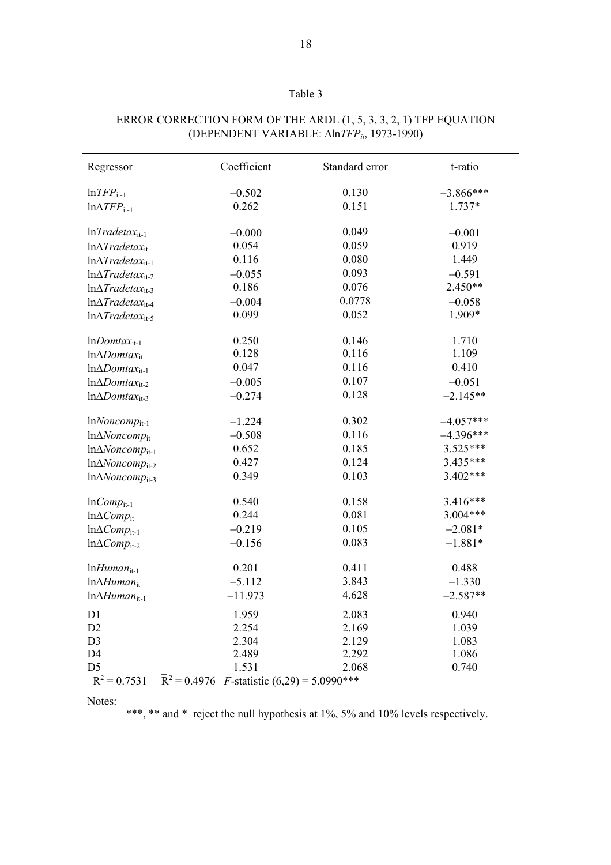| anı |  |
|-----|--|
|     |  |

| Regressor                                                                              | Coefficient | Standard error | t-ratio     |
|----------------------------------------------------------------------------------------|-------------|----------------|-------------|
| $ln$ <i>TFP</i> <sub>it-1</sub>                                                        | $-0.502$    | 0.130          | $-3.866***$ |
| $ln\Delta TFP_{it-1}$                                                                  | 0.262       | 0.151          | 1.737*      |
|                                                                                        |             |                |             |
| $lnTradetaxit-1$                                                                       | $-0.000$    | 0.049          | $-0.001$    |
| $ln\Delta Tradetax_{it}$                                                               | 0.054       | 0.059          | 0.919       |
| $ln\Delta Trade tax_{it-1}$                                                            | 0.116       | 0.080          | 1.449       |
| $ln\Delta Trade tax_{it-2}$                                                            | $-0.055$    | 0.093          | $-0.591$    |
| $ln\Delta Trade tax_{it-3}$                                                            | 0.186       | 0.076          | $2.450**$   |
| $ln\Delta Trade tax_{it-4}$                                                            | $-0.004$    | 0.0778         | $-0.058$    |
| $ln\Delta Trade tax_{it-5}$                                                            | 0.099       | 0.052          | 1.909*      |
|                                                                                        |             |                |             |
| $lnDom tax_{it-1}$                                                                     | 0.250       | 0.146          | 1.710       |
| $ln\Delta Dom tax_{it}$                                                                | 0.128       | 0.116          | 1.109       |
| $ln\Delta Dom tax_{it-1}$                                                              | 0.047       | 0.116          | 0.410       |
| $ln\Delta Dom tax_{it-2}$                                                              | $-0.005$    | 0.107          | $-0.051$    |
| $ln\Delta Dom tax_{it-3}$                                                              | $-0.274$    | 0.128          | $-2.145**$  |
| $lnNoncomp_{it-1}$                                                                     | $-1.224$    | 0.302          | $-4.057***$ |
| $ln\Delta Noncomp_{it}$                                                                | $-0.508$    | 0.116          | $-4.396***$ |
| $ln\Delta Noncomp_{it-1}$                                                              | 0.652       | 0.185          | 3.525***    |
| In $\Delta Noncomp_{it-2}$                                                             | 0.427       | 0.124          | 3.435***    |
| $ln\Delta Noncomp_{it-3}$                                                              | 0.349       | 0.103          | $3.402***$  |
| $lnComp_{it-1}$                                                                        | 0.540       | 0.158          | 3.416***    |
| $ln\Delta Comp_{it}$                                                                   | 0.244       | 0.081          | $3.004***$  |
| $ln\Delta Comp_{it-1}$                                                                 | $-0.219$    | 0.105          | $-2.081*$   |
| $ln\Delta Comp_{it-2}$                                                                 | $-0.156$    | 0.083          | $-1.881*$   |
| $lnHuman_{it-1}$                                                                       | 0.201       | 0.411          | 0.488       |
| $ln\Delta H$ uman <sub>it</sub>                                                        | $-5.112$    | 3.843          | $-1.330$    |
| $ln\Delta Human_{it-1}$                                                                | $-11.973$   | 4.628          | $-2.587**$  |
| D1                                                                                     | 1.959       | 2.083          | 0.940       |
| D2                                                                                     | 2.254       | 2.169          | 1.039       |
| D <sub>3</sub>                                                                         | 2.304       | 2.129          | 1.083       |
| D <sub>4</sub>                                                                         | 2.489       | 2.292          | 1.086       |
| D <sub>5</sub>                                                                         | 1.531       | 2.068          | 0.740       |
| $\overline{R}^2 = 0.4976$<br>$R^2 = 0.7531$<br><i>F</i> -statistic $(6,29) = 5.0990**$ |             |                |             |

# ERROR CORRECTION FORM OF THE ARDL (1, 5, 3, 3, 2, 1) TFP EQUATION (DEPENDENT VARIABLE: Δln*TFP<sub>it*</sub>, 1973-1990)

Notes:

\*\*\*, \*\* and \* reject the null hypothesis at 1%, 5% and 10% levels respectively.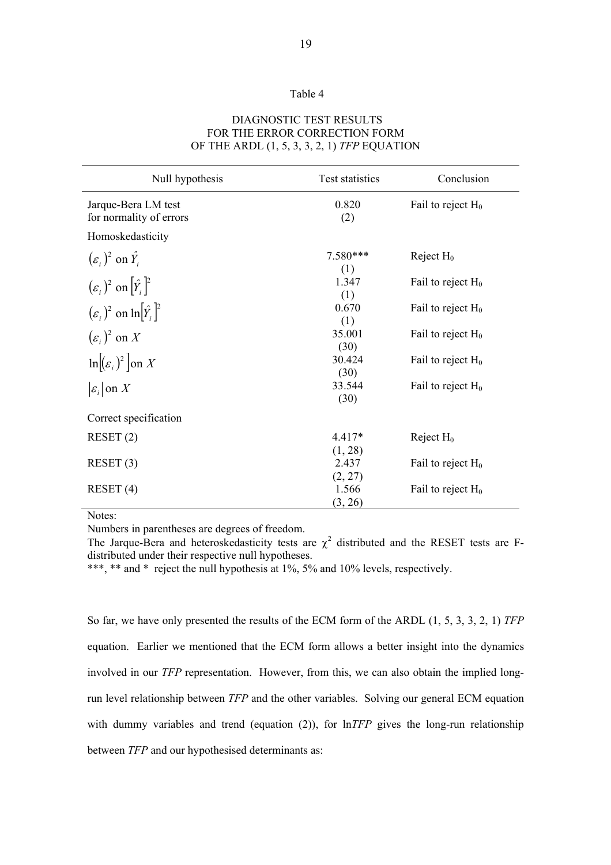#### Table 4

## DIAGNOSTIC TEST RESULTS FOR THE ERROR CORRECTION FORM OF THE ARDL (1, 5, 3, 3, 2, 1) *TFP* EQUATION

| Null hypothesis                                | Test statistics     | Conclusion           |
|------------------------------------------------|---------------------|----------------------|
| Jarque-Bera LM test<br>for normality of errors | 0.820<br>(2)        | Fail to reject $H_0$ |
| Homoskedasticity                               |                     |                      |
| $(\varepsilon_i)^2$ on $\hat{Y}_i$             | 7.580***<br>(1)     | Reject $H_0$         |
| $(\varepsilon_i)^2$ on $[\hat{Y}_i]^2$         | 1.347<br>(1)        | Fail to reject $H_0$ |
| $(\varepsilon_i)^2$ on $\ln[\hat{Y}_i]^2$      | 0.670<br>(1)        | Fail to reject $H_0$ |
| $(\varepsilon_i)^2$ on X                       | 35.001<br>(30)      | Fail to reject $H_0$ |
| $\ln[(\varepsilon_i)^2]$ on X                  | 30.424<br>(30)      | Fail to reject $H_0$ |
| $ \varepsilon_i $ on X                         | 33.544<br>(30)      | Fail to reject $H_0$ |
| Correct specification                          |                     |                      |
| RESET(2)                                       | $4.417*$<br>(1, 28) | Reject $H_0$         |
| RESET(3)                                       | 2.437<br>(2, 27)    | Fail to reject $H_0$ |
| RESET(4)                                       | 1.566<br>(3, 26)    | Fail to reject $H_0$ |

Notes:

Numbers in parentheses are degrees of freedom.

The Jarque-Bera and heteroskedasticity tests are  $\chi^2$  distributed and the RESET tests are Fdistributed under their respective null hypotheses.

\*\*\*, \*\* and \* reject the null hypothesis at 1%, 5% and 10% levels, respectively.

So far, we have only presented the results of the ECM form of the ARDL (1, 5, 3, 3, 2, 1) *TFP* equation. Earlier we mentioned that the ECM form allows a better insight into the dynamics involved in our *TFP* representation. However, from this, we can also obtain the implied longrun level relationship between *TFP* and the other variables. Solving our general ECM equation with dummy variables and trend (equation (2)), for  $lnTFP$  gives the long-run relationship between *TFP* and our hypothesised determinants as: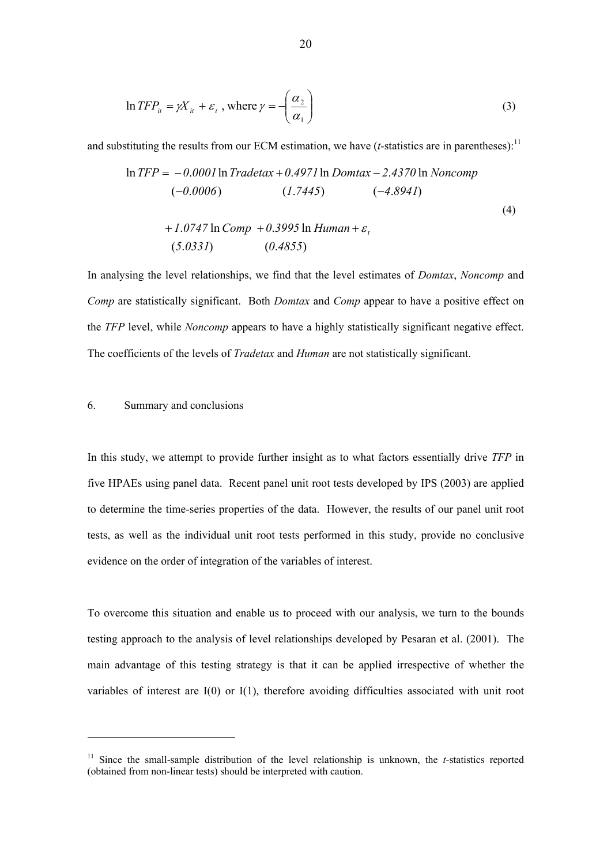$$
\ln TFP_{it} = \gamma X_{it} + \varepsilon_t, \text{ where } \gamma = -\left(\frac{\alpha_2}{\alpha_1}\right)
$$
 (3)

and substituting the results from our ECM estimation, we have  $(t\text{-statistics are in parentheses})$ .<sup>11</sup>

$$
\ln TFP = -0.0001 \ln Tradetax + 0.4971 \ln Domtax - 2.4370 \ln Noncomp \n(-0.0006) \qquad (1.7445) \qquad (-4.8941) \n+ 1.0747 \ln Comp + 0.3995 \ln Human + \varepsilon_{t} \n(5.0331) \qquad (0.4855)
$$
\n(4)

In analysing the level relationships, we find that the level estimates of *Domtax*, *Noncomp* and *Comp* are statistically significant. Both *Domtax* and *Comp* appear to have a positive effect on the *TFP* level, while *Noncomp* appears to have a highly statistically significant negative effect. The coefficients of the levels of *Tradetax* and *Human* are not statistically significant.

#### 6. Summary and conclusions

l

In this study, we attempt to provide further insight as to what factors essentially drive *TFP* in five HPAEs using panel data. Recent panel unit root tests developed by IPS (2003) are applied to determine the time-series properties of the data. However, the results of our panel unit root tests, as well as the individual unit root tests performed in this study, provide no conclusive evidence on the order of integration of the variables of interest.

To overcome this situation and enable us to proceed with our analysis, we turn to the bounds testing approach to the analysis of level relationships developed by Pesaran et al. (2001). The main advantage of this testing strategy is that it can be applied irrespective of whether the variables of interest are I(0) or I(1), therefore avoiding difficulties associated with unit root

<sup>&</sup>lt;sup>11</sup> Since the small-sample distribution of the level relationship is unknown, the *t*-statistics reported (obtained from non-linear tests) should be interpreted with caution.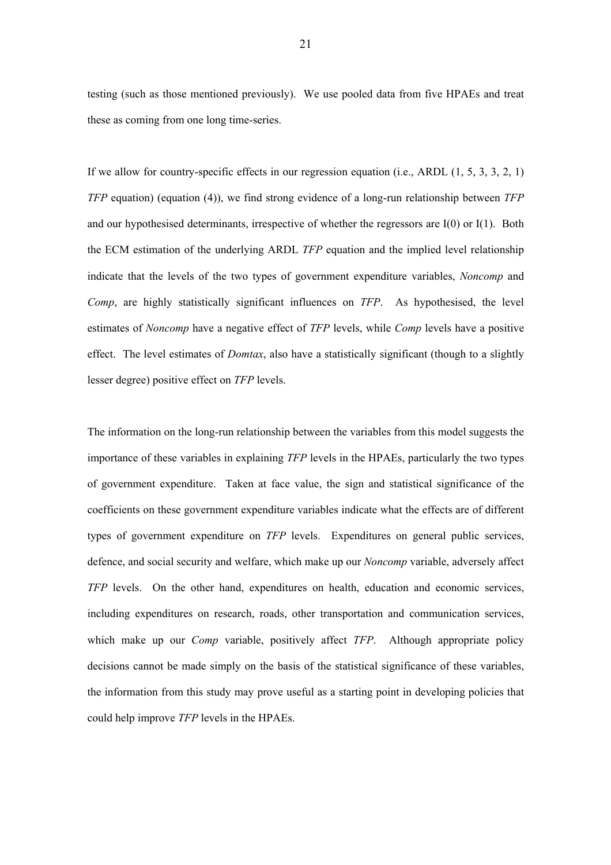testing (such as those mentioned previously). We use pooled data from five HPAEs and treat these as coming from one long time-series.

If we allow for country-specific effects in our regression equation (i.e., ARDL  $(1, 5, 3, 3, 2, 1)$ ) *TFP* equation) (equation (4)), we find strong evidence of a long-run relationship between *TFP* and our hypothesised determinants, irrespective of whether the regressors are I(0) or I(1). Both the ECM estimation of the underlying ARDL *TFP* equation and the implied level relationship indicate that the levels of the two types of government expenditure variables, *Noncomp* and *Comp*, are highly statistically significant influences on *TFP*. As hypothesised, the level estimates of *Noncomp* have a negative effect of *TFP* levels, while *Comp* levels have a positive effect. The level estimates of *Domtax*, also have a statistically significant (though to a slightly lesser degree) positive effect on *TFP* levels.

The information on the long-run relationship between the variables from this model suggests the importance of these variables in explaining *TFP* levels in the HPAEs, particularly the two types of government expenditure. Taken at face value, the sign and statistical significance of the coefficients on these government expenditure variables indicate what the effects are of different types of government expenditure on *TFP* levels. Expenditures on general public services, defence, and social security and welfare, which make up our *Noncomp* variable, adversely affect *TFP* levels. On the other hand, expenditures on health, education and economic services, including expenditures on research, roads, other transportation and communication services, which make up our *Comp* variable, positively affect *TFP*. Although appropriate policy decisions cannot be made simply on the basis of the statistical significance of these variables, the information from this study may prove useful as a starting point in developing policies that could help improve *TFP* levels in the HPAEs.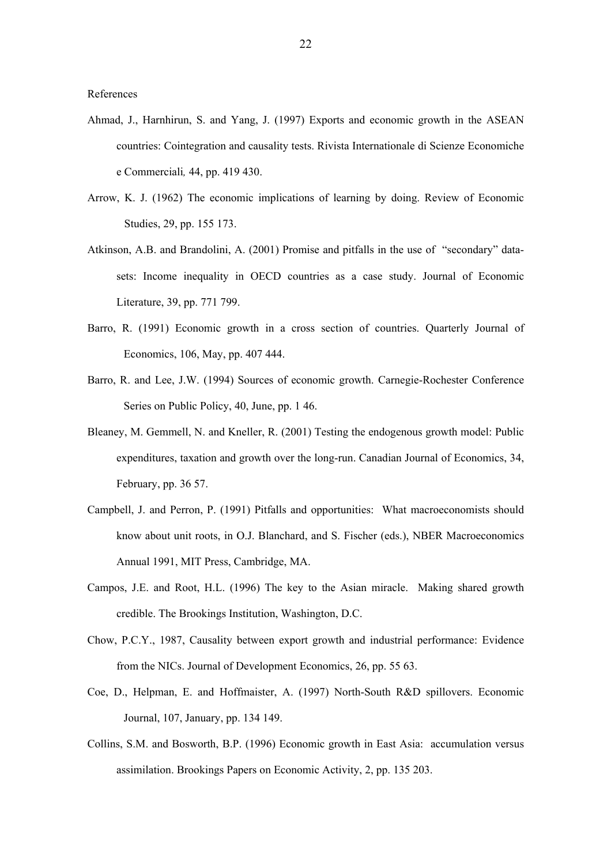References

- Ahmad, J., Harnhirun, S. and Yang, J. (1997) Exports and economic growth in the ASEAN countries: Cointegration and causality tests. Rivista Internationale di Scienze Economiche e Commerciali*,* 44, pp. 419 430.
- Arrow, K. J. (1962) The economic implications of learning by doing. Review of Economic Studies, 29, pp. 155 173.
- Atkinson, A.B. and Brandolini, A. (2001) Promise and pitfalls in the use of "secondary" datasets: Income inequality in OECD countries as a case study. Journal of Economic Literature, 39, pp. 771 799.
- Barro, R. (1991) Economic growth in a cross section of countries. Quarterly Journal of Economics, 106, May, pp. 407 444.
- Barro, R. and Lee, J.W. (1994) Sources of economic growth. Carnegie-Rochester Conference Series on Public Policy, 40, June, pp. 1 46.
- Bleaney, M. Gemmell, N. and Kneller, R. (2001) Testing the endogenous growth model: Public expenditures, taxation and growth over the long-run. Canadian Journal of Economics, 34, February, pp. 36 57.
- Campbell, J. and Perron, P. (1991) Pitfalls and opportunities: What macroeconomists should know about unit roots, in O.J. Blanchard, and S. Fischer (eds.), NBER Macroeconomics Annual 1991, MIT Press, Cambridge, MA.
- Campos, J.E. and Root, H.L. (1996) The key to the Asian miracle. Making shared growth credible. The Brookings Institution, Washington, D.C.
- Chow, P.C.Y., 1987, Causality between export growth and industrial performance: Evidence from the NICs. Journal of Development Economics, 26, pp. 55 63.
- Coe, D., Helpman, E. and Hoffmaister, A. (1997) North-South R&D spillovers. Economic Journal, 107, January, pp. 134 149.
- Collins, S.M. and Bosworth, B.P. (1996) Economic growth in East Asia: accumulation versus assimilation. Brookings Papers on Economic Activity, 2, pp. 135 203.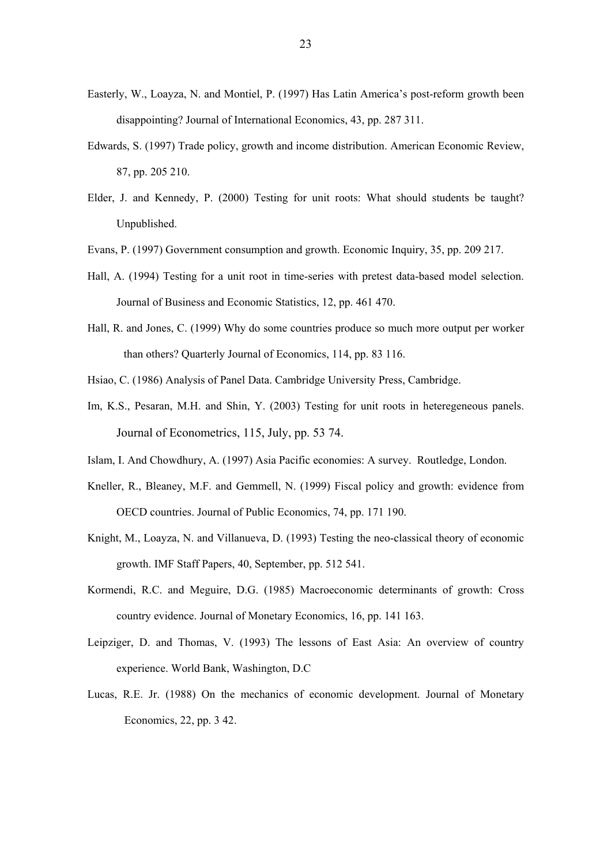- Easterly, W., Loayza, N. and Montiel, P. (1997) Has Latin America's post-reform growth been disappointing? Journal of International Economics, 43, pp. 287 311.
- Edwards, S. (1997) Trade policy, growth and income distribution. American Economic Review, 87, pp. 205 210.
- Elder, J. and Kennedy, P. (2000) Testing for unit roots: What should students be taught? Unpublished.
- Evans, P. (1997) Government consumption and growth. Economic Inquiry, 35, pp. 209 217.
- Hall, A. (1994) Testing for a unit root in time-series with pretest data-based model selection. Journal of Business and Economic Statistics, 12, pp. 461 470.
- Hall, R. and Jones, C. (1999) Why do some countries produce so much more output per worker than others? Quarterly Journal of Economics, 114, pp. 83 116.
- Hsiao, C. (1986) Analysis of Panel Data. Cambridge University Press, Cambridge.
- Im, K.S., Pesaran, M.H. and Shin, Y. (2003) Testing for unit roots in heteregeneous panels. Journal of Econometrics, 115, July, pp. 53 74.
- Islam, I. And Chowdhury, A. (1997) Asia Pacific economies: A survey. Routledge, London.
- Kneller, R., Bleaney, M.F. and Gemmell, N. (1999) Fiscal policy and growth: evidence from OECD countries. Journal of Public Economics, 74, pp. 171 190.
- Knight, M., Loayza, N. and Villanueva, D. (1993) Testing the neo-classical theory of economic growth. IMF Staff Papers, 40, September, pp. 512 541.
- Kormendi, R.C. and Meguire, D.G. (1985) Macroeconomic determinants of growth: Cross country evidence. Journal of Monetary Economics, 16, pp. 141 163.
- Leipziger, D. and Thomas, V. (1993) The lessons of East Asia: An overview of country experience. World Bank, Washington, D.C
- Lucas, R.E. Jr. (1988) On the mechanics of economic development. Journal of Monetary Economics, 22, pp. 3 42.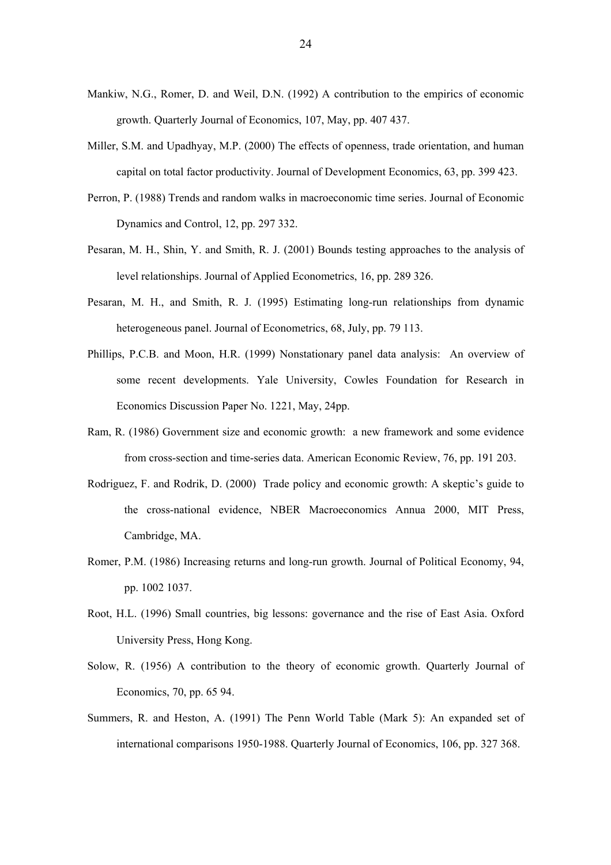- Mankiw, N.G., Romer, D. and Weil, D.N. (1992) A contribution to the empirics of economic growth. Quarterly Journal of Economics, 107, May, pp. 407 437.
- Miller, S.M. and Upadhyay, M.P. (2000) The effects of openness, trade orientation, and human capital on total factor productivity. Journal of Development Economics, 63, pp. 399 423.
- Perron, P. (1988) Trends and random walks in macroeconomic time series. Journal of Economic Dynamics and Control, 12, pp. 297 332.
- Pesaran, M. H., Shin, Y. and Smith, R. J. (2001) Bounds testing approaches to the analysis of level relationships. Journal of Applied Econometrics, 16, pp. 289 326.
- Pesaran, M. H., and Smith, R. J. (1995) Estimating long-run relationships from dynamic heterogeneous panel. Journal of Econometrics, 68, July, pp. 79 113.
- Phillips, P.C.B. and Moon, H.R. (1999) Nonstationary panel data analysis: An overview of some recent developments. Yale University, Cowles Foundation for Research in Economics Discussion Paper No. 1221, May, 24pp.
- Ram, R. (1986) Government size and economic growth: a new framework and some evidence from cross-section and time-series data. American Economic Review, 76, pp. 191 203.
- Rodriguez, F. and Rodrik, D. (2000) Trade policy and economic growth: A skeptic's guide to the cross-national evidence, NBER Macroeconomics Annua 2000, MIT Press, Cambridge, MA.
- Romer, P.M. (1986) Increasing returns and long-run growth. Journal of Political Economy, 94, pp. 1002 1037.
- Root, H.L. (1996) Small countries, big lessons: governance and the rise of East Asia. Oxford University Press, Hong Kong.
- Solow, R. (1956) A contribution to the theory of economic growth. Quarterly Journal of Economics, 70, pp. 65 94.
- Summers, R. and Heston, A. (1991) The Penn World Table (Mark 5): An expanded set of international comparisons 1950-1988. Quarterly Journal of Economics, 106, pp. 327 368.